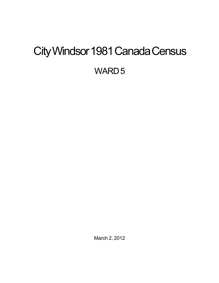# <span id="page-0-0"></span>City Windsor 1981 Canada Census

WARD<sub>5</sub>

March 2, 2012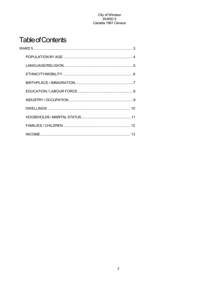## **Table of Contents**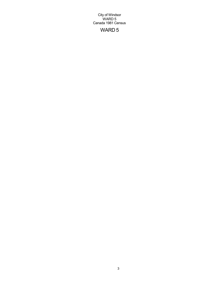## WARD 5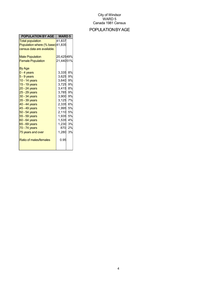## POPULATIONBYAGE

| POPULATION BY AGE                                           | <b>WARD 5</b>        |    |
|-------------------------------------------------------------|----------------------|----|
| <b>Total population</b><br>Population where (% base) 41,835 | 41,837               |    |
| census data are available.                                  |                      |    |
| <b>Male Population</b>                                      | 20,42549%            |    |
| <b>Female Population</b>                                    | 21,44051%            |    |
| By Age                                                      |                      |    |
| $0 - 4$ years                                               | 3,335                | 8% |
| $5 - 9$ years                                               | 3,625                | 9% |
| 10 - 14 years                                               | 3,640                | 9% |
| 15 - 19 years                                               | 3,725 9%             |    |
| $20 - 24$ years                                             | 3,415 8%             |    |
| $25 - 29$ years                                             | 3,785 9%             |    |
| 30 - 34 years                                               | 3,900 9%<br>3,125 7% |    |
| 35 - 39 years<br>40 - 44 years                              | 2,335 6%             |    |
| 45 - 49 years                                               | 1,995 5%             |    |
| 50 - 54 years                                               | 2,110 5%             |    |
| 55 - 59 years                                               | 1.935 5%             |    |
| 60 - 64 years                                               | 1,535 4%             |    |
| 65 - 69 years                                               | 1,230 3%             |    |
| 70 - 74 years                                               | 870                  | 2% |
| 75 years and over                                           | 1,280                | 3% |
| Ratio of males/females                                      | 0.95                 |    |
|                                                             |                      |    |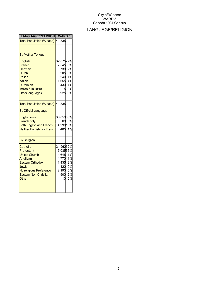## LANGUAGE/RELIGION

| <b>LANGUAGE/RELIGION</b>                                                                                                                                            | <b>WARD5</b>                                                                     |                                            |
|---------------------------------------------------------------------------------------------------------------------------------------------------------------------|----------------------------------------------------------------------------------|--------------------------------------------|
| Total Population (% base)                                                                                                                                           | 41,835                                                                           |                                            |
|                                                                                                                                                                     |                                                                                  |                                            |
| <b>By Mother Tongue</b>                                                                                                                                             |                                                                                  |                                            |
| <b>English</b><br>French<br>German<br><b>Dutch</b><br><b>Polish</b><br>Italian<br><b>Ukrainian</b><br><b>Indian &amp; Inuktitut</b><br><b>Other languages</b>       | 32,07577%<br>2,545<br>730<br>205<br>240<br>1,655 4%<br>3,925                     | 6%<br>2%<br>0%<br>1%<br>430 1%<br>0%<br>9% |
| Total Population (% base)                                                                                                                                           | 41,835                                                                           |                                            |
| <b>By Official Language</b>                                                                                                                                         |                                                                                  |                                            |
| <b>English only</b><br><b>French only</b><br><b>Both English and French</b><br><b>Neither English nor French</b>                                                    | 36,85088%<br>4,29010%<br>405                                                     | 60 0%<br>1%                                |
| <b>By Religion</b>                                                                                                                                                  |                                                                                  |                                            |
| Catholic<br>Protestant<br><b>United Church</b><br>Anglican<br><b>Eastern Orthodox</b><br>Jewish<br>No religious Preference<br><b>Eastern Non-Christian</b><br>Other | 21,96052%<br>15,03536%<br>4,64511%<br>4,77011%<br>1,435<br>2,190 5%<br>900<br>10 | 3%<br>120 0%<br>2%<br>0%                   |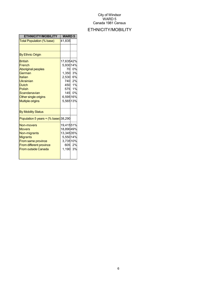## ETHNICITY/MOBILITY

| <b>ETHNICITY/MOBILITY</b>                                                                                                                                                            | <b>WARD 5</b>                                                                   |                                              |
|--------------------------------------------------------------------------------------------------------------------------------------------------------------------------------------|---------------------------------------------------------------------------------|----------------------------------------------|
| Total Population (% base)                                                                                                                                                            | 41,835                                                                          |                                              |
|                                                                                                                                                                                      |                                                                                 |                                              |
| <b>By Ethnic Origin</b>                                                                                                                                                              |                                                                                 |                                              |
| <b>British</b><br>French<br><b>Aboriginal peoples</b><br>German<br>Italian<br>Ukrainian<br><b>Dutch</b><br>Polish<br>Scandanavian<br>Other single origins<br><b>Multiple origins</b> | 17,63542%<br>5,93014%<br>70<br>1,350<br>2,530 6%<br>145<br>6,59516%<br>5,56513% | 0%<br>3%<br>740 2%<br>450 1%<br>575 1%<br>0% |
| <b>By Mobility Status</b>                                                                                                                                                            |                                                                                 |                                              |
| Population 5 years $+(%$ base) 38,290                                                                                                                                                |                                                                                 |                                              |
| <b>Non-movers</b><br><b>Movers</b><br>Non-migrants<br><b>Migrants</b><br>From same province<br>From different province<br><b>From outside Canada</b>                                 | 19,41551%<br>18,89049%<br>13,34535%<br>5,55014%<br>3,73510%<br>1,190            | 605 2%<br>3%                                 |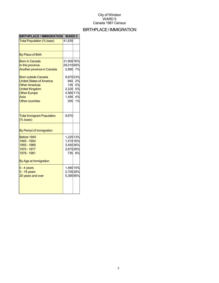## BIRTHPLACE/IMMIGRATION

| <b>BIRTHPLACE / IMMIGRATION</b>                                                                                                                                                                                                                            | <b>WARD5</b>                                                                             |                                      |
|------------------------------------------------------------------------------------------------------------------------------------------------------------------------------------------------------------------------------------------------------------|------------------------------------------------------------------------------------------|--------------------------------------|
| Total Population (% base)                                                                                                                                                                                                                                  | 41,835                                                                                   |                                      |
|                                                                                                                                                                                                                                                            |                                                                                          |                                      |
| <b>By Place of Birth</b>                                                                                                                                                                                                                                   |                                                                                          |                                      |
| <b>Born in Canada</b><br>In this province<br><b>Another province in Canada</b><br><b>Born outside Canada</b><br><b>United States of America</b><br><b>Other Americas</b><br><b>United Kingdom</b><br><b>Other Europe</b><br>Asia<br><b>Other countries</b> | 31,900 76%<br>29,01069%<br>2,890<br>9,67023%<br>940<br>135<br>2,220<br>4,56011%<br>1,490 | 7%<br>2%<br>0%<br>5%<br>4%<br>355 1% |
| <b>Total Immigrant Population</b><br>$(% \mathcal{L}_{0})$ (% base)                                                                                                                                                                                        | 9,670                                                                                    |                                      |
| By Period of Immigration                                                                                                                                                                                                                                   |                                                                                          |                                      |
| Before 1945<br>1945 - 1954<br>1955 - 1969<br>1970 - 1977<br>1978 - 1981<br>By Age at Immigration                                                                                                                                                           | 1,22513%<br>1,51516%<br>3,45036%<br>2,67528%<br>735                                      | 8%                                   |
| $0 - 4$ years<br>$5 - 19$ years<br>20 years and over                                                                                                                                                                                                       | 1,460 15%<br>2,70028%<br>5,38056%                                                        |                                      |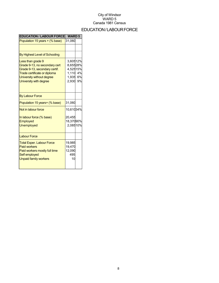## EDUCATION/LABOURFORCE

| <b>EDUCATION / LABOUR FORCE</b>                                                                                                                                            | <b>WARD 5</b>                                                     |    |
|----------------------------------------------------------------------------------------------------------------------------------------------------------------------------|-------------------------------------------------------------------|----|
| Population 15 years + (% base)                                                                                                                                             | 31,060                                                            |    |
|                                                                                                                                                                            |                                                                   |    |
| By Highest Level of Schooling                                                                                                                                              |                                                                   |    |
| Less than grade 9<br>Grade 9-13, no secondary cert<br>Grade 9-13, secondary certif.<br>Trade certificate or diploma<br>University without degree<br>University with degree | 3,60512%<br>8,65528%<br>4,52515%<br>1,110 4%<br>1,935 6%<br>2,930 | 9% |
| <b>By Labour Force</b>                                                                                                                                                     |                                                                   |    |
| Population 15 years+ (% base)                                                                                                                                              | 31,060                                                            |    |
| Not in labour force                                                                                                                                                        | 10,61034%                                                         |    |
| In labour force (% base)<br>Employed<br>Unemployed                                                                                                                         | 20,455<br>18,37090%<br>2,08510%                                   |    |
| <b>Labour Force</b>                                                                                                                                                        |                                                                   |    |
| <b>Total Exper. Labour Force</b><br><b>Paid workers</b><br>Paid workers mostly full time<br>Self employed<br><b>Unpaid family workers</b>                                  | 19,985<br>19,470<br>12,090<br>495<br>10                           |    |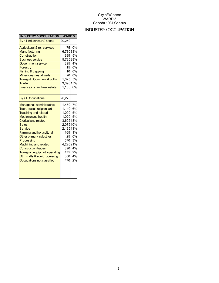## INDUSTRY/OCCUPATION

| <b>INDUSTRY / OCCUPATION</b>                                                                                                                                                                                                                                                                                                                                                                                                        | <b>WARD 5</b>                                                                                                         |                                                                  |
|-------------------------------------------------------------------------------------------------------------------------------------------------------------------------------------------------------------------------------------------------------------------------------------------------------------------------------------------------------------------------------------------------------------------------------------|-----------------------------------------------------------------------------------------------------------------------|------------------------------------------------------------------|
| By all Industries (% base)                                                                                                                                                                                                                                                                                                                                                                                                          | 20,250                                                                                                                |                                                                  |
| Agricultural & rel. services<br>Manufacturing<br>Construction<br><b>Business service</b><br>Government service<br><b>Forestry</b><br>Fishing & trapping<br>Mines quarries oil wells<br>Transprt., Commun. & utility<br>Trade<br>Finance, ins. and real estate                                                                                                                                                                       | 75<br>6,78033%<br>995<br>5,73528%<br>895<br>15<br>10<br>1,025<br>3,09015%<br>1,155                                    | 0%<br>5%<br>4%<br>0%<br>0%<br>20 0%<br>5%<br>6%                  |
| <b>By all Occupations</b>                                                                                                                                                                                                                                                                                                                                                                                                           | 20,275                                                                                                                |                                                                  |
| Managerial, administrative<br>Tech, social, religion, art<br><b>Teaching and related</b><br><b>Medicine and health</b><br><b>Clerical and related</b><br><b>Sales</b><br>Service<br><b>Farming and horticultural</b><br>Other primary industries<br>Processing<br><b>Machining and related</b><br><b>Construction trades</b><br><b>Transport equipmnt. operating</b><br>Oth. crafts & equip. operatng<br>Occupations not classified | 1,450 7%<br>1,140<br>1,000<br>1,020<br>3,60518%<br>2,07510%<br>2,19511%<br>165<br>25<br>570<br>4,22021%<br>475<br>470 | 6%<br>5%<br>5%<br>1%<br>0%<br>3%<br>890 4%<br>2%<br>880 4%<br>2% |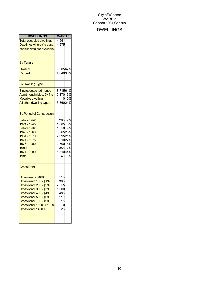## DWELLINGS

| <b>DWELLINGS</b>                                                                                                                                                                                                                                | <b>WARD 5</b>                                                                       |                              |
|-------------------------------------------------------------------------------------------------------------------------------------------------------------------------------------------------------------------------------------------------|-------------------------------------------------------------------------------------|------------------------------|
| <b>Total occupied dwellings</b><br>Dwellings where (% base) 14,275<br>census data are available.                                                                                                                                                | 14,261                                                                              |                              |
|                                                                                                                                                                                                                                                 |                                                                                     |                              |
| <b>By Tenure</b>                                                                                                                                                                                                                                |                                                                                     |                              |
| Owned<br>Rented                                                                                                                                                                                                                                 | 9,60567%<br>4,64033%                                                                |                              |
| <b>By Dwelling Type</b>                                                                                                                                                                                                                         |                                                                                     |                              |
| Single, detached house<br>Apartment in bldg. 5+ firs<br><b>Movable dwelling</b><br>All other dwelling types                                                                                                                                     | 8,71561%<br>2,17015%<br>3,36024%                                                    | 0%                           |
| <b>By Period of Construction</b>                                                                                                                                                                                                                |                                                                                     |                              |
| Before 1920<br>1921 - 1945<br>Before 1946<br>1946 - 1960<br>1961 - 1970<br>1971 - 1975<br>1976 - 1980<br>1980<br>1971 - 1980<br>1981                                                                                                            | 1,085 8%<br>1,350<br>3,26523%<br>2,99521%<br>3,81027%<br>2,50018%<br>6,31044%<br>40 | 265 2%<br>9%<br>355 2%<br>0% |
| <b>Gross Rent</b>                                                                                                                                                                                                                               |                                                                                     |                              |
| Gross rent < \$100<br>Gross rent \$100 - \$199<br>Gross rent \$200 - \$299<br>Gross rent \$300 - \$399<br>Gross rent \$400 - \$499<br>Gross rent \$500 - \$699<br>Gross rent \$700 - \$999<br>Gross rent \$1000 - \$1399<br>Gross rent \$1400 + | 115<br>385<br>2,055<br>1,500<br>485<br>110<br>15<br>25                              |                              |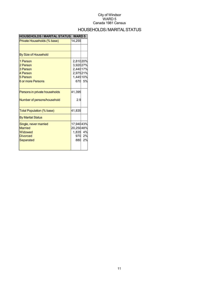## HOUSEHOLDS/MARITALSTATUS

| <b>HOUSEHOLDS / MARITAL STATUS</b>                                                 | <b>WARD 5</b>                                                   |              |
|------------------------------------------------------------------------------------|-----------------------------------------------------------------|--------------|
| Private Households (% base)                                                        | 14,255                                                          |              |
|                                                                                    |                                                                 |              |
| By Size of Household                                                               |                                                                 |              |
| 1 Person<br>2 Person<br>3 Person<br>4 Person<br>5 Person<br>6 or more Persons      | 2,81020%<br>3,92027%<br>2,44017%<br>2,97521%<br>1,44510%<br>670 | 5%           |
| Persons in private households<br>Number of persons/household                       | 41,395<br>2.9                                                   |              |
| Total Population (% base)                                                          | 41,835                                                          |              |
| <b>By Marital Status</b>                                                           |                                                                 |              |
| Single, never married<br><b>Married</b><br>Widowed<br><b>Divorced</b><br>Separated | 17,94043%<br>20,25048%<br>1,835 4%<br>880                       | 970 2%<br>2% |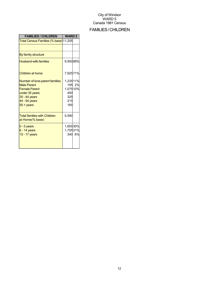## FAMILIES/CHILDREN

| <b>FAMILIES / CHILDREN</b>                                                                                                                                | <b>WARD 5</b>                                    |        |
|-----------------------------------------------------------------------------------------------------------------------------------------------------------|--------------------------------------------------|--------|
| Total Census Families (% base) 11,205                                                                                                                     |                                                  |        |
|                                                                                                                                                           |                                                  |        |
| By family structure                                                                                                                                       |                                                  |        |
| <b>Husband-wife families</b>                                                                                                                              | 9,95089%                                         |        |
| Children at home                                                                                                                                          | 7,92571%                                         |        |
| Number of lone-parent families<br><b>Male Parent</b><br><b>Female Parent</b><br>under 35 years<br>35 - 44 years<br>44 - 54 years<br>$55 + \mathrm{years}$ | 1,23511%<br>1,07510%<br>450<br>325<br>215<br>165 | 195 2% |
| <b>Total families with Children</b><br>at Home(% base)                                                                                                    | 5,590                                            |        |
| $0 - 5$ years<br>$6 - 14$ years<br>15 - 17 years                                                                                                          | 1,65530%<br>1,70531%                             | 340 6% |